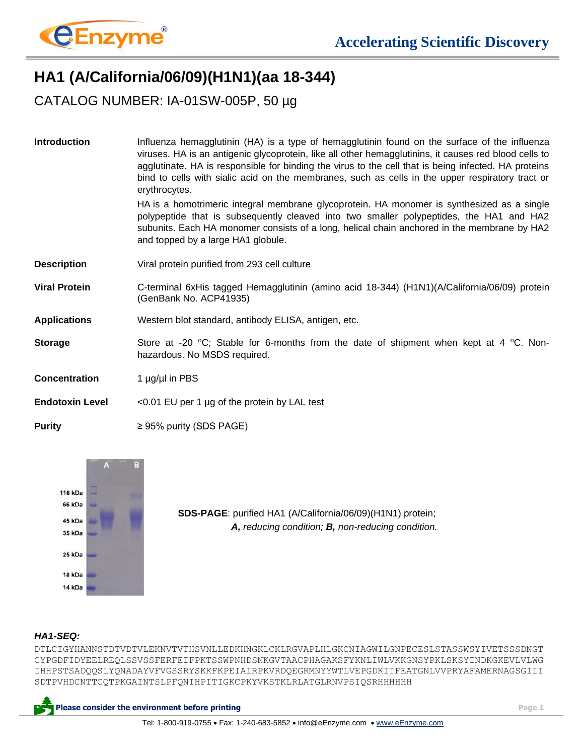

## **HA1 (A/California/06/09)(H1N1)(aa 18-344)**

CATALOG NUMBER: IA-01SW-005P, 50 µg

| <b>Introduction</b>    | Influenza hemagglutinin (HA) is a type of hemagglutinin found on the surface of the influenza<br>viruses. HA is an antigenic glycoprotein, like all other hemagglutinins, it causes red blood cells to<br>agglutinate. HA is responsible for binding the virus to the cell that is being infected. HA proteins<br>bind to cells with sialic acid on the membranes, such as cells in the upper respiratory tract or<br>erythrocytes. |
|------------------------|-------------------------------------------------------------------------------------------------------------------------------------------------------------------------------------------------------------------------------------------------------------------------------------------------------------------------------------------------------------------------------------------------------------------------------------|
|                        | HA is a homotrimeric integral membrane glycoprotein. HA monomer is synthesized as a single<br>polypeptide that is subsequently cleaved into two smaller polypeptides, the HA1 and HA2<br>subunits. Each HA monomer consists of a long, helical chain anchored in the membrane by HA2<br>and topped by a large HA1 globule.                                                                                                          |
| <b>Description</b>     | Viral protein purified from 293 cell culture                                                                                                                                                                                                                                                                                                                                                                                        |
| <b>Viral Protein</b>   | C-terminal 6xHis tagged Hemagglutinin (amino acid 18-344) (H1N1)(A/California/06/09) protein<br>(GenBank No. ACP41935)                                                                                                                                                                                                                                                                                                              |
| <b>Applications</b>    | Western blot standard, antibody ELISA, antigen, etc.                                                                                                                                                                                                                                                                                                                                                                                |
| <b>Storage</b>         | Store at -20 °C; Stable for 6-months from the date of shipment when kept at 4 °C. Non-<br>hazardous. No MSDS required.                                                                                                                                                                                                                                                                                                              |
| <b>Concentration</b>   | 1 $\mu$ g/ $\mu$ l in PBS                                                                                                                                                                                                                                                                                                                                                                                                           |
| <b>Endotoxin Level</b> | $<$ 0.01 EU per 1 µg of the protein by LAL test                                                                                                                                                                                                                                                                                                                                                                                     |
| <b>Purity</b>          | $\geq$ 95% purity (SDS PAGE)                                                                                                                                                                                                                                                                                                                                                                                                        |



**SDS-PAGE**: purified HA1 (A/California/06/09)(H1N1) protein;  *A, reducing condition; B, non-reducing condition.*

## *HA1-SEQ:*

DTLCIGYHANNSTDTVDTVLEKNVTVTHSVNLLEDKHNGKLCKLRGVAPLHLGKCNIAGWILGNPECESLSTASSWSYIVETSSSDNGT CYPGDFIDYEELREQLSSVSSFERFEIFPKTSSWPNHDSNKGVTAACPHAGAKSFYKNLIWLVKKGNSYPKLSKSYINDKGKEVLVLWG IHHPSTSADQQSLYQNADAYVFVGSSRYSKKFKPEIAIRPKVRDQEGRMNYYWTLVEPGDKITFEATGNLVVPRYAFAMERNAGSGIII SDTPVHDCNTTCQTPKGAINTSLPFQNIHPITIGKCPKYVKSTKLRLATGLRNVPSIQSRHHHHHH

**Please consider the environment before printing Page 1**